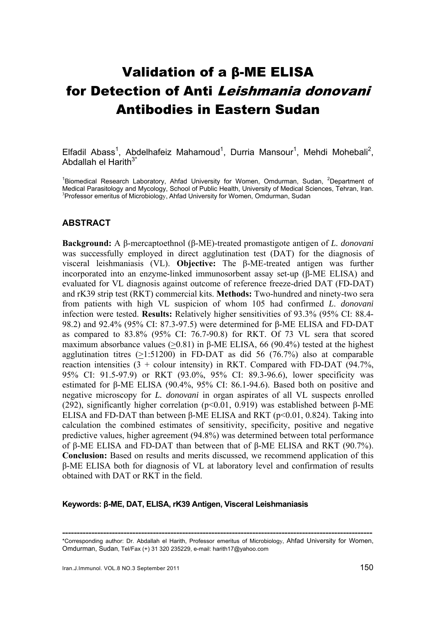# Validation of a β-ME ELISA for Detection of Anti Leishmania donovani Antibodies in Eastern Sudan

Elfadil Abass<sup>1</sup>, Abdelhafeiz Mahamoud<sup>1</sup>, Durria Mansour<sup>1</sup>, Mehdi Mohebali<sup>2</sup>, Abdallah el Harith<sup>3\*</sup>

<sup>1</sup>Biomedical Research Laboratory, Ahfad University for Women, Omdurman, Sudan, <sup>2</sup>Department of Medical Parasitology and Mycology, School of Public Health, University of Medical Sciences, Tehran, Iran. <sup>3</sup>Professor emeritus of Microbiology, Ahfad University for Women, Omdurman, Sudan

# **ABSTRACT**

**Background:** A β-mercaptoethnol (β-ME)-treated promastigote antigen of *L. donovani*  was successfully employed in direct agglutination test (DAT) for the diagnosis of visceral leishmaniasis (VL). **Objective:** The β-ME-treated antigen was further incorporated into an enzyme-linked immunosorbent assay set-up (β-ME ELISA) and evaluated for VL diagnosis against outcome of reference freeze-dried DAT (FD-DAT) and rK39 strip test (RKT) commercial kits. **Methods:** Two-hundred and ninety-two sera from patients with high VL suspicion of whom 105 had confirmed *L*. *donovani* infection were tested. **Results:** Relatively higher sensitivities of 93.3% (95% CI: 88.4- 98.2) and 92.4% (95% CI: 87.3-97.5) were determined for β-ME ELISA and FD-DAT as compared to 83.8% (95% CI: 76.7-90.8) for RKT. Of 73 VL sera that scored maximum absorbance values ( $>$ 0.81) in β-ME ELISA, 66 (90.4%) tested at the highest agglutination titres  $(>1:51200)$  in FD-DAT as did 56 (76.7%) also at comparable reaction intensities  $(3 + \text{colour intensity})$  in RKT. Compared with FD-DAT  $(94.7\%$ , 95% CI: 91.5-97.9) or RKT (93.0%, 95% CI: 89.3-96.6), lower specificity was estimated for β-ME ELISA (90.4%, 95% CI: 86.1-94.6). Based both on positive and negative microscopy for *L. donovani* in organ aspirates of all VL suspects enrolled (292), significantly higher correlation ( $p<0.01$ , 0.919) was established between β-ME ELISA and FD-DAT than between β-ME ELISA and RKT (p<0.01, 0.824). Taking into calculation the combined estimates of sensitivity, specificity, positive and negative predictive values, higher agreement (94.8%) was determined between total performance of β-ME ELISA and FD-DAT than between that of β-ME ELISA and RKT (90.7%). **Conclusion:** Based on results and merits discussed, we recommend application of this β-ME ELISA both for diagnosis of VL at laboratory level and confirmation of results obtained with DAT or RKT in the field.

## **Keywords: β-ME, DAT, ELISA, rK39 Antigen, Visceral Leishmaniasis**

**<sup>----------------------------------------------------------------------------------------------------------</sup>** \*Corresponding author: Dr. Abdallah el Harith, Professor emeritus of Microbiology, Ahfad University for Women, Omdurman, Sudan, Tel/Fax (+) 31 320 235229, e-mail: harith17@yahoo.com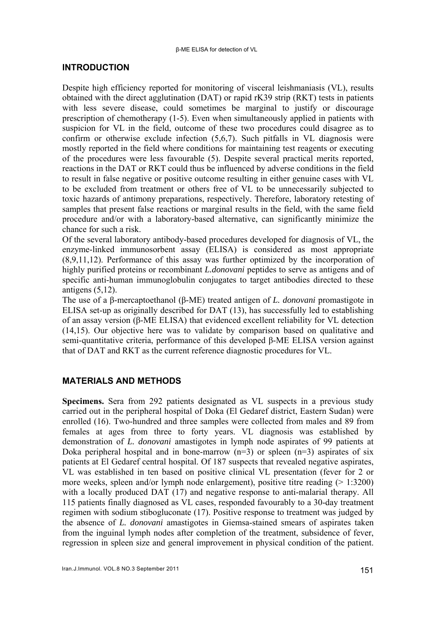# **INTRODUCTION**

Despite high efficiency reported for monitoring of visceral leishmaniasis (VL), results obtained with the direct agglutination (DAT) or rapid rK39 strip (RKT) tests in patients with less severe disease, could sometimes be marginal to justify or discourage prescription of chemotherapy (1-5). Even when simultaneously applied in patients with suspicion for VL in the field, outcome of these two procedures could disagree as to confirm or otherwise exclude infection (5,6,7). Such pitfalls in VL diagnosis were mostly reported in the field where conditions for maintaining test reagents or executing of the procedures were less favourable (5). Despite several practical merits reported, reactions in the DAT or RKT could thus be influenced by adverse conditions in the field to result in false negative or positive outcome resulting in either genuine cases with VL to be excluded from treatment or others free of VL to be unnecessarily subjected to toxic hazards of antimony preparations, respectively. Therefore, laboratory retesting of samples that present false reactions or marginal results in the field, with the same field procedure and/or with a laboratory-based alternative, can significantly minimize the chance for such a risk.

Of the several laboratory antibody-based procedures developed for diagnosis of VL, the enzyme-linked immunosorbent assay (ELISA) is considered as most appropriate (8,9,11,12). Performance of this assay was further optimized by the incorporation of highly purified proteins or recombinant *L.donovani* peptides to serve as antigens and of specific anti-human immunoglobulin conjugates to target antibodies directed to these antigens  $(5,12)$ .

The use of a β-mercaptoethanol (β-ME) treated antigen of *L. donovani* promastigote in ELISA set-up as originally described for DAT (13), has successfully led to establishing of an assay version (β-ME ELISA) that evidenced excellent reliability for VL detection (14,15). Our objective here was to validate by comparison based on qualitative and semi-quantitative criteria, performance of this developed β-ME ELISA version against that of DAT and RKT as the current reference diagnostic procedures for VL.

# **MATERIALS AND METHODS**

**Specimens.** Sera from 292 patients designated as VL suspects in a previous study carried out in the peripheral hospital of Doka (El Gedaref district, Eastern Sudan) were enrolled (16). Two-hundred and three samples were collected from males and 89 from females at ages from three to forty years. VL diagnosis was established by demonstration of *L. donovani* amastigotes in lymph node aspirates of 99 patients at Doka peripheral hospital and in bone-marrow  $(n=3)$  or spleen  $(n=3)$  aspirates of six patients at El Gedaref central hospital. Of 187 suspects that revealed negative aspirates, VL was established in ten based on positive clinical VL presentation (fever for 2 or more weeks, spleen and/or lymph node enlargement), positive titre reading (> 1:3200) with a locally produced DAT (17) and negative response to anti-malarial therapy. All 115 patients finally diagnosed as VL cases, responded favourably to a 30-day treatment regimen with sodium stibogluconate (17). Positive response to treatment was judged by the absence of *L. donovani* amastigotes in Giemsa-stained smears of aspirates taken from the inguinal lymph nodes after completion of the treatment, subsidence of fever, regression in spleen size and general improvement in physical condition of the patient.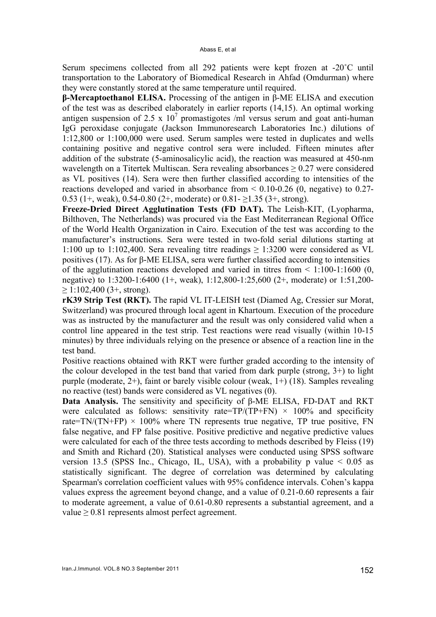Serum specimens collected from all 292 patients were kept frozen at -20˚C until transportation to the Laboratory of Biomedical Research in Ahfad (Omdurman) where they were constantly stored at the same temperature until required.

**β-Mercaptoethanol ELISA.** Processing of the antigen in β-ME ELISA and execution of the test was as described elaborately in earlier reports (14,15). An optimal working antigen suspension of 2.5 x  $10^7$  promastigotes /ml versus serum and goat anti-human IgG peroxidase conjugate (Jackson Immunoresearch Laboratories Inc.) dilutions of 1:12,800 or 1:100,000 were used. Serum samples were tested in duplicates and wells containing positive and negative control sera were included. Fifteen minutes after addition of the substrate (5-aminosalicylic acid), the reaction was measured at 450-nm wavelength on a Titertek Multiscan. Sera revealing absorbances  $\geq 0.27$  were considered as VL positives (14). Sera were then further classified according to intensities of the reactions developed and varied in absorbance from < 0.10-0.26 (0, negative) to 0.27- 0.53 (1+, weak), 0.54-0.80 (2+, moderate) or  $0.81 - 21.35$  (3+, strong).

**Freeze-Dried Direct Agglutination Tests (FD DAT).** The Leish-KIT, (Lyopharma, Bilthoven, The Netherlands) was procured via the East Mediterranean Regional Office of the World Health Organization in Cairo. Execution of the test was according to the manufacturer's instructions. Sera were tested in two-fold serial dilutions starting at 1:100 up to 1:102,400. Sera revealing titre readings  $\geq$  1:3200 were considered as VL positives (17). As for β-ME ELISA, sera were further classified according to intensities of the agglutination reactions developed and varied in titres from  $\leq 1:100-1:1600$  (0, negative) to 1:3200-1:6400 (1+, weak), 1:12,800-1:25,600 (2+, moderate) or 1:51,200-  $\geq$  1:102,400 (3+, strong).

**rK39 Strip Test (RKT).** The rapid VL IT-LEISH test (Diamed Ag, Cressier sur Morat, Switzerland) was procured through local agent in Khartoum. Execution of the procedure was as instructed by the manufacturer and the result was only considered valid when a control line appeared in the test strip. Test reactions were read visually (within 10-15 minutes) by three individuals relying on the presence or absence of a reaction line in the test band.

Positive reactions obtained with RKT were further graded according to the intensity of the colour developed in the test band that varied from dark purple (strong, 3+) to light purple (moderate, 2+), faint or barely visible colour (weak, 1+) (18). Samples revealing no reactive (test) bands were considered as VL negatives (0).

**Data Analysis.** The sensitivity and specificity of β-ME ELISA, FD-DAT and RKT were calculated as follows: sensitivity rate=TP/(TP+FN)  $\times$  100% and specificity rate=TN/(TN+FP)  $\times$  100% where TN represents true negative. TP true positive, FN false negative, and FP false positive. Positive predictive and negative predictive values were calculated for each of the three tests according to methods described by Fleiss (19) and Smith and Richard (20). Statistical analyses were conducted using SPSS software version 13.5 (SPSS Inc., Chicago, IL, USA), with a probability p value  $\leq 0.05$  as statistically significant. The degree of correlation was determined by calculating Spearman's correlation coefficient values with 95% confidence intervals. Cohen's kappa values express the agreement beyond change, and a value of 0.21-0.60 represents a fair to moderate agreement, a value of 0.61-0.80 represents a substantial agreement, and a value  $\geq 0.81$  represents almost perfect agreement.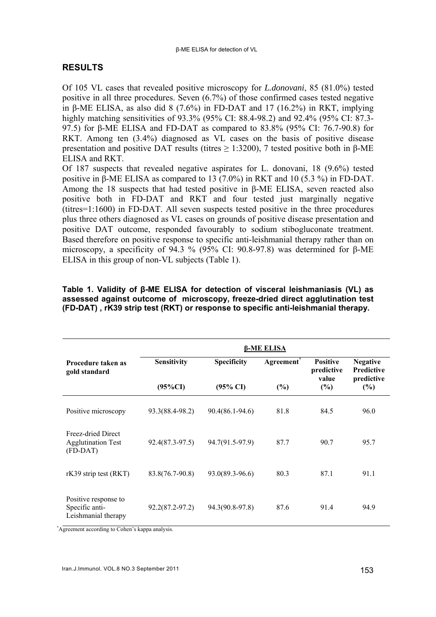# **RESULTS**

Of 105 VL cases that revealed positive microscopy for *L.donovani*, 85 (81.0%) tested positive in all three procedures. Seven (6.7%) of those confirmed cases tested negative in β-ME ELISA, as also did 8 (7.6%) in FD-DAT and 17 (16.2%) in RKT, implying highly matching sensitivities of 93.3% (95% CI: 88.4-98.2) and 92.4% (95% CI: 87.3- 97.5) for β-ME ELISA and FD-DAT as compared to 83.8% (95% CI: 76.7-90.8) for RKT. Among ten (3.4%) diagnosed as VL cases on the basis of positive disease presentation and positive DAT results (titres  $\geq$  1:3200), 7 tested positive both in β-ME ELISA and RKT.

Of 187 suspects that revealed negative aspirates for L. donovani, 18 (9.6%) tested positive in β-ME ELISA as compared to 13 (7.0%) in RKT and 10 (5.3 %) in FD-DAT. Among the 18 suspects that had tested positive in β-ME ELISA, seven reacted also positive both in FD-DAT and RKT and four tested just marginally negative (titres=1:1600) in FD-DAT. All seven suspects tested positive in the three procedures plus three others diagnosed as VL cases on grounds of positive disease presentation and positive DAT outcome, responded favourably to sodium stibogluconate treatment. Based therefore on positive response to specific anti-leishmanial therapy rather than on microscopy, a specificity of 94.3 % (95% CI: 90.8-97.8) was determined for β-ME ELISA in this group of non-VL subjects (Table 1).

**Table 1. Validity of β-ME ELISA for detection of visceral leishmaniasis (VL) as assessed against outcome of microscopy, freeze-dried direct agglutination test (FD-DAT) , rK39 strip test (RKT) or response to specific anti-leishmanial therapy.** 

|                                                               | <b>β-ME ELISA</b>         |                                    |                               |                                                  |                                                              |  |  |
|---------------------------------------------------------------|---------------------------|------------------------------------|-------------------------------|--------------------------------------------------|--------------------------------------------------------------|--|--|
| Procedure taken as<br>gold standard                           | Sensitivity<br>$(95\%CI)$ | Specificity<br>$(95\% \text{ CI})$ | Agreement <sup>*</sup><br>(%) | <b>Positive</b><br>predictive<br>value<br>$(\%)$ | <b>Negative</b><br><b>Predictive</b><br>predictive<br>$(\%)$ |  |  |
|                                                               |                           |                                    |                               |                                                  |                                                              |  |  |
| Positive microscopy                                           | 93.3(88.4-98.2)           | $90.4(86.1-94.6)$                  | 81.8                          | 84.5                                             | 96.0                                                         |  |  |
| Freez-dried Direct<br><b>Agglutination Test</b><br>(FD-DAT)   | 92.4(87.3-97.5)           | 94.7(91.5-97.9)                    | 87.7                          | 90.7                                             | 95.7                                                         |  |  |
| rK39 strip test (RKT)                                         | 83.8(76.7-90.8)           | 93.0(89.3-96.6)                    | 80.3                          | 87.1                                             | 91.1                                                         |  |  |
| Positive response to<br>Specific anti-<br>Leishmanial therapy | $92.2(87.2 - 97.2)$       | 94.3(90.8-97.8)                    | 87.6                          | 91.4                                             | 94.9                                                         |  |  |

\*Agreement according to Cohen's kappa analysis.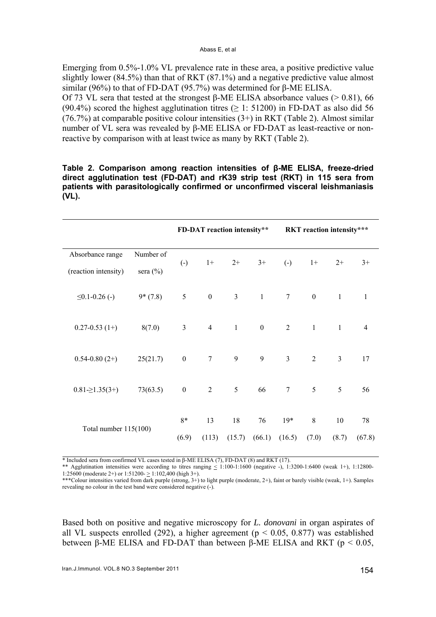Emerging from 0.5%-1.0% VL prevalence rate in these area, a positive predictive value slightly lower (84.5%) than that of RKT (87.1%) and a negative predictive value almost similar (96%) to that of FD-DAT (95.7%) was determined for β-ME ELISA.

Of 73 VL sera that tested at the strongest β-ME ELISA absorbance values (> 0.81), 66 (90.4%) scored the highest agglutination titres ( $\geq$  1: 51200) in FD-DAT as also did 56 (76.7%) at comparable positive colour intensities  $(3+)$  in RKT (Table 2). Almost similar number of VL sera was revealed by β-ME ELISA or FD-DAT as least-reactive or nonreactive by comparison with at least twice as many by RKT (Table 2).

**Table 2. Comparison among reaction intensities of β-ME ELISA, freeze-dried direct agglutination test (FD-DAT) and rK39 strip test (RKT) in 115 sera from patients with parasitologically confirmed or unconfirmed visceral leishmaniasis (VL).** 

|                                      |           |                   | FD-DAT reaction intensity** |                |                  |                   |                  | RKT reaction intensity*** |                |
|--------------------------------------|-----------|-------------------|-----------------------------|----------------|------------------|-------------------|------------------|---------------------------|----------------|
| Absorbance range                     | Number of |                   |                             |                |                  |                   |                  |                           |                |
| (reaction intensity)<br>sera $(\% )$ |           | $\left( -\right)$ | $1+$                        | $2+$           | $3+$             | $\left( -\right)$ | $1+$             | $2+$                      | $3+$           |
| $\leq 0.1 - 0.26$ (-)                | $9*(7.8)$ | 5                 | $\mathbf{0}$                | $\mathfrak{Z}$ | $1 -$            | $7\phantom{.0}$   | $\boldsymbol{0}$ | $\overline{1}$            | $\mathbf{1}$   |
| $0.27 - 0.53(1+)$                    | 8(7.0)    | 3 <sup>7</sup>    | $\overline{4}$              | $\mathbf{1}$   | $\boldsymbol{0}$ | $\overline{2}$    | $\mathbf{1}$     | $\overline{1}$            | $\overline{4}$ |
| $0.54 - 0.80(2+)$                    | 25(21.7)  | $\boldsymbol{0}$  | $\overline{7}$              | 9              | 9                | $\overline{3}$    | $\overline{2}$   | $\overline{3}$            | 17             |
| $0.81 \ge 1.35(3+)$                  | 73(63.5)  | $\boldsymbol{0}$  | $\overline{2}$              | 5              | 66               | 7                 | 5                | 5                         | 56             |
| Total number $115(100)$              |           | 8*                | 13                          | 18             | 76               | $19*$             | 8                | 10                        | 78             |
|                                      |           | (6.9)             | (113)                       | (15.7)         | (66.1)           | (16.5)            | (7.0)            | (8.7)                     | (67.8)         |

\* Included sera from confirmed VL cases tested in β-ME ELISA (7), FD-DAT (8) and RKT (17).

\*\* Agglutination intensities were according to titres ranging  $\leq 1:100-1:1600$  (negative -), 1:3200-1:6400 (weak 1+), 1:12800-1:25600 (moderate 2+) or 1:51200-  $\geq$  1:102,400 (high 3+).

\*\*\*Colour intensities varied from dark purple (strong, 3+) to light purple (moderate, 2+), faint or barely visible (weak, 1+). Samples revealing no colour in the test band were considered negative (-).

Based both on positive and negative microscopy for *L. donovani* in organ aspirates of all VL suspects enrolled (292), a higher agreement ( $p < 0.05$ , 0.877) was established between  $\beta$ -ME ELISA and FD-DAT than between  $\beta$ -ME ELISA and RKT ( $p < 0.05$ ).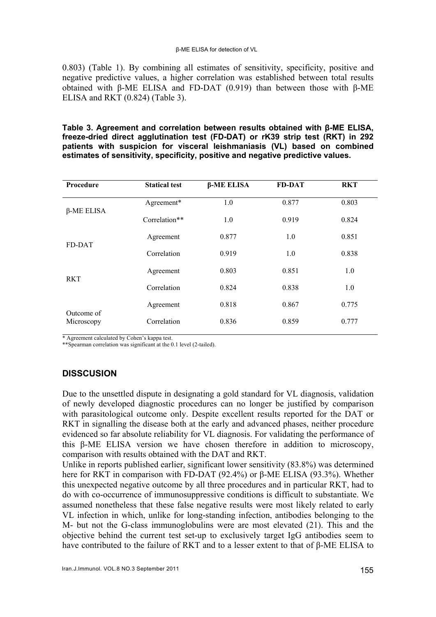#### β-ME ELISA for detection of VL

0.803) (Table 1). By combining all estimates of sensitivity, specificity, positive and negative predictive values, a higher correlation was established between total results obtained with β-ME ELISA and FD-DAT (0.919) than between those with β-ME ELISA and RKT (0.824) (Table 3).

**Table 3. Agreement and correlation between results obtained with β-ME ELISA, freeze-dried direct agglutination test (FD-DAT) or rK39 strip test (RKT) in 292 patients with suspicion for visceral leishmaniasis (VL) based on combined estimates of sensitivity, specificity, positive and negative predictive values.** 

| Procedure                | <b>Statical test</b> | $\beta$ -ME ELISA | <b>FD-DAT</b> | <b>RKT</b> |
|--------------------------|----------------------|-------------------|---------------|------------|
| $\beta$ -ME ELISA        | Agreement*           | 1.0               | 0.877         | 0.803      |
|                          | Correlation**        | 1.0               | 0.919         | 0.824      |
| FD-DAT                   | Agreement            | 0.877             | 1.0           | 0.851      |
|                          | Correlation          | 0.919             | 1.0           | 0.838      |
| <b>RKT</b>               | Agreement            | 0.803             | 0.851         | 1.0        |
|                          | Correlation          | 0.824             | 0.838         | 1.0        |
| Outcome of<br>Microscopy | Agreement            | 0.818             | 0.867         | 0.775      |
|                          | Correlation          | 0.836             | 0.859         | 0.777      |

\* Agreement calculated by Cohen's kappa test.

\*\*Spearman correlation was significant at the 0.1 level (2-tailed).

# **DISSCUSION**

Due to the unsettled dispute in designating a gold standard for VL diagnosis, validation of newly developed diagnostic procedures can no longer be justified by comparison with parasitological outcome only. Despite excellent results reported for the DAT or RKT in signalling the disease both at the early and advanced phases, neither procedure evidenced so far absolute reliability for VL diagnosis. For validating the performance of this β-ME ELISA version we have chosen therefore in addition to microscopy, comparison with results obtained with the DAT and RKT.

Unlike in reports published earlier, significant lower sensitivity (83.8%) was determined here for RKT in comparison with FD-DAT (92.4%) or β-ME ELISA (93.3%). Whether this unexpected negative outcome by all three procedures and in particular RKT, had to do with co-occurrence of immunosuppressive conditions is difficult to substantiate. We assumed nonetheless that these false negative results were most likely related to early VL infection in which, unlike for long-standing infection, antibodies belonging to the M- but not the G-class immunoglobulins were are most elevated (21). This and the objective behind the current test set-up to exclusively target IgG antibodies seem to have contributed to the failure of RKT and to a lesser extent to that of β-ME ELISA to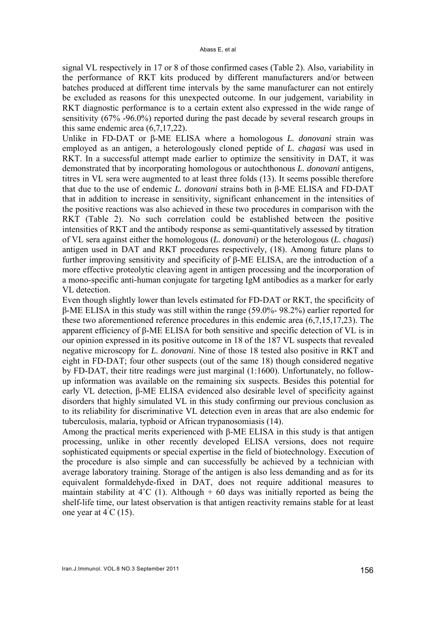signal VL respectively in 17 or 8 of those confirmed cases (Table 2). Also, variability in the performance of RKT kits produced by different manufacturers and/or between batches produced at different time intervals by the same manufacturer can not entirely be excluded as reasons for this unexpected outcome. In our judgement, variability in RKT diagnostic performance is to a certain extent also expressed in the wide range of sensitivity (67% -96.0%) reported during the past decade by several research groups in this same endemic area (6,7,17,22).

Unlike in FD-DAT or β-ME ELISA where a homologous *L. donovani* strain was employed as an antigen, a heterologously cloned peptide of *L. chagasi* was used in RKT. In a successful attempt made earlier to optimize the sensitivity in DAT, it was demonstrated that by incorporating homologous or autochthonous *L. donovani* antigens, titres in VL sera were augmented to at least three folds (13). It seems possible therefore that due to the use of endemic *L. donovani* strains both in β-ME ELISA and FD-DAT that in addition to increase in sensitivity, significant enhancement in the intensities of the positive reactions was also achieved in these two procedures in comparison with the RKT (Table 2). No such correlation could be established between the positive intensities of RKT and the antibody response as semi-quantitatively assessed by titration of VL sera against either the homologous (*L. donovani*) or the heterologous (*L. chagasi*) antigen used in DAT and RKT procedures respectively, (18). Among future plans to further improving sensitivity and specificity of β-ME ELISA, are the introduction of a more effective proteolytic cleaving agent in antigen processing and the incorporation of a mono-specific anti-human conjugate for targeting IgM antibodies as a marker for early VL detection.

Even though slightly lower than levels estimated for FD-DAT or RKT, the specificity of β-ME ELISA in this study was still within the range (59.0%- 98.2%) earlier reported for these two aforementioned reference procedures in this endemic area (6,7,15,17,23). The apparent efficiency of β-ME ELISA for both sensitive and specific detection of VL is in our opinion expressed in its positive outcome in 18 of the 187 VL suspects that revealed negative microscopy for *L. donovani*. Nine of those 18 tested also positive in RKT and eight in FD-DAT; four other suspects (out of the same 18) though considered negative by FD-DAT, their titre readings were just marginal (1:1600). Unfortunately, no followup information was available on the remaining six suspects. Besides this potential for early VL detection, β-ME ELISA evidenced also desirable level of specificity against disorders that highly simulated VL in this study confirming our previous conclusion as to its reliability for discriminative VL detection even in areas that are also endemic for tuberculosis, malaria, typhoid or African trypanosomiasis (14).

Among the practical merits experienced with β-ME ELISA in this study is that antigen processing, unlike in other recently developed ELISA versions, does not require sophisticated equipments or special expertise in the field of biotechnology. Execution of the procedure is also simple and can successfully be achieved by a technician with average laboratory training. Storage of the antigen is also less demanding and as for its equivalent formaldehyde-fixed in DAT, does not require additional measures to maintain stability at  $4^{\circ}C$  (1). Although + 60 days was initially reported as being the shelf-life time, our latest observation is that antigen reactivity remains stable for at least one year at  $4^{\degree}C(15)$ .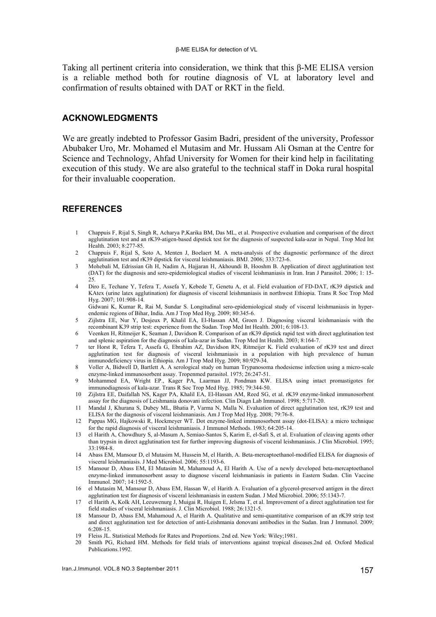Taking all pertinent criteria into consideration, we think that this β-ME ELISA version is a reliable method both for routine diagnosis of VL at laboratory level and confirmation of results obtained with DAT or RKT in the field.

## **ACKNOWLEDGMENTS**

We are greatly indebted to Professor Gasim Badri, president of the university, Professor Abubaker Uro, Mr. Mohamed el Mutasim and Mr. Hussam Ali Osman at the Centre for Science and Technology, Ahfad University for Women for their kind help in facilitating execution of this study. We are also grateful to the technical staff in Doka rural hospital for their invaluable cooperation.

## **REFERENCES**

- 1 Chappuis F, Rijal S, Singh R, Acharya P,Karika BM, Das ML, et al. Prospective evaluation and comparison of the direct agglutination test and an rK39-atigen-based dipstick test for the diagnosis of suspected kala-azar in Nepal. Trop Med Int Health. 2003; 8:277-85.
- 2 Chappuis F, Rijal S, Soto A, Menten J, Boelaert M. A meta-analysis of the diagnostic performance of the direct agglutination test and rK39 dipstick for visceral leishmaniasis. BMJ. 2006; 333:723-6.
- 3 Mohebali M, Edrissian Gh H, Nadim A, Hajjaran H, Akhoundi B, Hooshm B. Application of direct agglutination test (DAT) for the diagnosis and sero-epidemiological studies of visceral leishmaniasis in Iran. Iran J Parasitol. 2006; 1: 15- 25.
- 4 Diro E, Techane Y, Tefera T, Assefa Y, Kebede T, Genetu A, et al. Field evaluation of FD-DAT, rK39 dipstick and KAtex (urine latex agglutination) for diagnosis of visceral leishmaniasis in northwest Ethiopia. Trans R Soc Trop Med Hyg. 2007; 101:908-14.

Gidwani K, Kumar R, Rai M, Sundar S. Longitudinal sero-epidemiological study of visceral leishmaniasis in hyperendemic regions of Bihar, India. Am J Trop Med Hyg. 2009; 80:345-6.

- 5 Zijlstra EE, Nur Y, Desjeux P, Khalil EA, El-Hassan AM, Groen J. Diagnosing visceral leishmaniasis with the recombinant K39 strip test: experience from the Sudan. Trop Med Int Health. 2001; 6:108-13.
- 6 Veenken H, Ritmeijer K, Seaman J, Davidson R. Comparison of an rK39 dipstick rapid test with direct agglutination test and splenic aspiration for the diagnosis of kala-azar in Sudan. Trop Med Int Health. 2003; 8:164-7.
- 7 ter Horst R, Tefera T, Assefa G, Ebrahim AZ, Davidson RN, Ritmeijer K. Field evaluation of rK39 test and direct agglutination test for diagnosis of visceral leishmaniasis in a population with high prevalence of human immunodeficiency virus in Ethiopia. Am J Trop Med Hyg. 2009; 80:929-34.
- 8 Voller A, Bidwell D, Bartlett A. A serological study on human Trypanosoma rhodesiense infection using a micro-scale enzyme-linked immunosorbent assay. Tropenmed parasitol. 1975; 26:247-51.
- 9 Mohammed EA, Wright EP., Kager PA, Laarman JJ, Pondman KW. ELISA using intact promastigotes for immunodiagnosis of kala-azar. Trans R Soc Trop Med Hyg. 1985; 79:344-50.
- 10 Zijlstra EE, Daifallah NS, Kager PA, Khalil EA, El-Hassan AM, Reed SG, et al. rK39 enzyme-linked immunosorbent assay for the diagnosis of Leishmania donovani infection. Clin Diagn Lab Immunol. 1998; 5:717-20.
- 11 Mandal J, Khurana S, Dubey ML, Bhatia P, Varma N, Malla N. Evaluation of direct agglutination test, rK39 test and ELISA for the diagnosis of visceral leishmaniasis. Am J Trop Med Hyg. 2008; 79:76-8.
- 12 Pappas MG, Hajkowski R, Hockmeyer WT. Dot enzyme-linked immunosorbent assay (dot-ELISA): a micro technique for the rapid diagnosis of visceral leishmaniasis. J Immunol Methods. 1983; 64:205-14.
- 13 el Harith A, Chowdhury S, al-Masum A, Semiao-Santos S, Karim E, el-Safi S, et al. Evaluation of cleaving agents other than trypsin in direct agglutination test for further improving diagnosis of visceral leishmaniasis. J Clin Microbiol. 1995; 33:1984-8.
- 14 Abass EM, Mansour D, el Mutasim M, Hussein M, el Harith, A. Beta-mercaptoethanol-modified ELISA for diagnosis of visceral leishmaniasis. J Med Microbiol. 2006; 55:1193-6.
- 15 Mansour D, Abass EM, El Mutasim M, Mahamoud A, El Harith A. Use of a newly developed beta-mercaptoethanol enzyme-linked immunosorbent assay to diagnose visceral leishmaniasis in patients in Eastern Sudan. Clin Vaccine Immunol. 2007; 14:1592-5.
- 16 el Mutasim M, Mansour D, Abass EM, Hassan W, el Harith A. Evaluation of a glycerol-preserved antigen in the direct agglutination test for diagnosis of visceral leishmaniasis in eastern Sudan. J Med Microbiol. 2006; 55:1343-7.
- 17 el Harith A, Kolk AH, Leeuwenurg J, Muigai R, Huigen E, Jelsma T, et al. Improvement of a direct agglutination test for field studies of visceral leishmaniasis. J. Clin Microbiol. 1988; 26:1321-5.
- 18 Mansour D, Abass EM, Mahamoud A, el Harith A. Qualitative and semi-quantitative comparison of an rK39 strip test and direct agglutination test for detection of anti-Leishmania donovani antibodies in the Sudan. Iran J Immunol. 2009; 6:208-15.
- 19 Fleiss JL. Statistical Methods for Rates and Proportions. 2nd ed. New York: Wiley;1981.
- 20 Smith PG, Richard HM. Methods for field trials of interventions against tropical diseases.2nd ed. Oxford Medical Publications.1992.